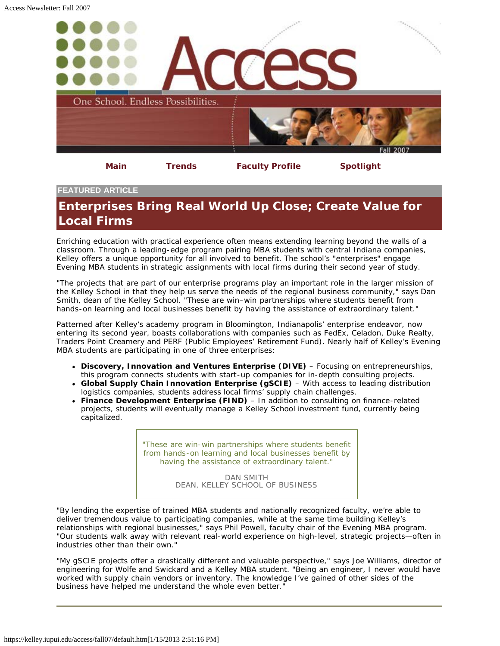<span id="page-0-0"></span>

## **FEATURED ARTICLE**

## **Enterprises Bring Real World Up Close; Create Value for Local Firms**

Enriching education with practical experience often means extending learning beyond the walls of a classroom. Through a leading-edge program pairing MBA students with central Indiana companies, Kelley offers a unique opportunity for all involved to benefit. The school's "enterprises" engage Evening MBA students in strategic assignments with local firms during their second year of study.

"The projects that are part of our enterprise programs play an important role in the larger mission of the Kelley School in that they help us serve the needs of the regional business community," says Dan Smith, dean of the Kelley School. "These are win–win partnerships where students benefit from hands-on learning and local businesses benefit by having the assistance of extraordinary talent."

Patterned after Kelley's academy program in Bloomington, Indianapolis' enterprise endeavor, now entering its second year, boasts collaborations with companies such as FedEx, Celadon, Duke Realty, Traders Point Creamery and PERF (Public Employees' Retirement Fund). Nearly half of Kelley's Evening MBA students are participating in one of three enterprises:

- **Discovery, Innovation and Ventures Enterprise (DIVE)** Focusing on entrepreneurships, this program connects students with start-up companies for in-depth consulting projects.
- **Global Supply Chain Innovation Enterprise (gSCIE)** With access to leading distribution logistics companies, students address local firms' supply chain challenges.
- **Finance Development Enterprise (FIND)** In addition to consulting on finance-related projects, students will eventually manage a Kelley School investment fund, currently being capitalized.

*"These are win-win partnerships where students benefit from hands-on learning and local businesses benefit by having the assistance of extraordinary talent."*

> DAN SMITH DEAN, KELLEY SCHOOL OF BUSINESS

"By lending the expertise of trained MBA students and nationally recognized faculty, we're able to deliver tremendous value to participating companies, while at the same time building Kelley's relationships with regional businesses," says Phil Powell, faculty chair of the Evening MBA program. "Our students walk away with relevant real-world experience on high-level, strategic projects—often in industries other than their own."

"My gSCIE projects offer a drastically different and valuable perspective," says Joe Williams, director of engineering for Wolfe and Swickard and a Kelley MBA student. "Being an engineer, I never would have worked with supply chain vendors or inventory. The knowledge I've gained of other sides of the business have helped me understand the whole even better."